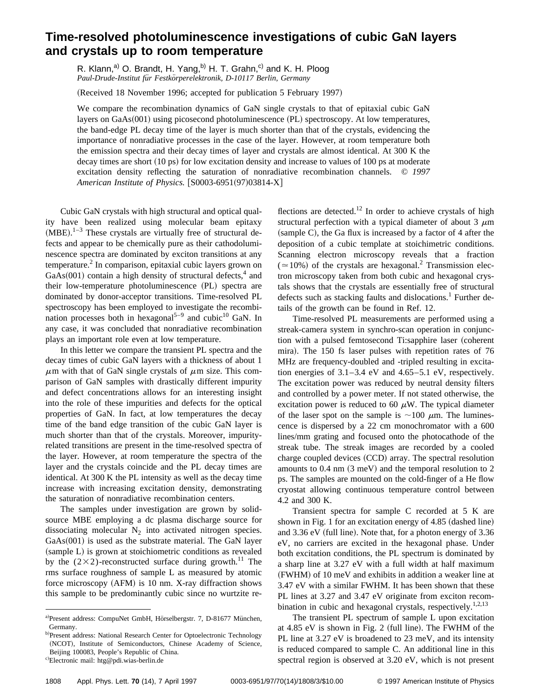## **Time-resolved photoluminescence investigations of cubic GaN layers and crystals up to room temperature**

R. Klann,<sup>a)</sup> O. Brandt, H. Yang,<sup>b)</sup> H. T. Grahn,<sup>c)</sup> and K. H. Ploog *Paul-Drude-Institut fu¨r Festko¨rperelektronik, D-10117 Berlin, Germany*

(Received 18 November 1996; accepted for publication 5 February 1997)

We compare the recombination dynamics of GaN single crystals to that of epitaxial cubic GaN layers on GaAs(001) using picosecond photoluminescence (PL) spectroscopy. At low temperatures, the band-edge PL decay time of the layer is much shorter than that of the crystals, evidencing the importance of nonradiative processes in the case of the layer. However, at room temperature both the emission spectra and their decay times of layer and crystals are almost identical. At 300 K the decay times are short (10 ps) for low excitation density and increase to values of 100 ps at moderate excitation density reflecting the saturation of nonradiative recombination channels. © *1997 American Institute of Physics.* [S0003-6951(97)03814-X]

Cubic GaN crystals with high structural and optical quality have been realized using molecular beam epitaxy  $(MBE).<sup>1-3</sup>$  These crystals are virtually free of structural defects and appear to be chemically pure as their cathodoluminescence spectra are dominated by exciton transitions at any temperature.2 In comparison, epitaxial cubic layers grown on  $GaAs(001)$  contain a high density of structural defects,<sup>4</sup> and their low-temperature photoluminescence (PL) spectra are dominated by donor-acceptor transitions. Time-resolved PL spectroscopy has been employed to investigate the recombination processes both in hexagonal<sup>5-9</sup> and cubic<sup>10</sup> GaN. In any case, it was concluded that nonradiative recombination plays an important role even at low temperature.

In this letter we compare the transient PL spectra and the decay times of cubic GaN layers with a thickness of about 1  $\mu$ m with that of GaN single crystals of  $\mu$ m size. This comparison of GaN samples with drastically different impurity and defect concentrations allows for an interesting insight into the role of these impurities and defects for the optical properties of GaN. In fact, at low temperatures the decay time of the band edge transition of the cubic GaN layer is much shorter than that of the crystals. Moreover, impurityrelated transitions are present in the time-resolved spectra of the layer. However, at room temperature the spectra of the layer and the crystals coincide and the PL decay times are identical. At 300 K the PL intensity as well as the decay time increase with increasing excitation density, demonstrating the saturation of nonradiative recombination centers.

The samples under investigation are grown by solidsource MBE employing a dc plasma discharge source for dissociating molecular  $N<sub>2</sub>$  into activated nitrogen species.  $GaAs(001)$  is used as the substrate material. The GaN layer (sample L) is grown at stoichiometric conditions as revealed by the  $(2\times2)$ -reconstructed surface during growth.<sup>11</sup> The rms surface roughness of sample L as measured by atomic force microscopy  $(AFM)$  is 10 nm. X-ray diffraction shows this sample to be predominantly cubic since no wurtzite reflections are detected.<sup>12</sup> In order to achieve crystals of high structural perfection with a typical diameter of about 3  $\mu$ m  $(sample C)$ , the Ga flux is increased by a factor of 4 after the deposition of a cubic template at stoichimetric conditions. Scanning electron microscopy reveals that a fraction  $(>=10\%)$  of the crystals are hexagonal.<sup>2</sup> Transmission electron microscopy taken from both cubic and hexagonal crystals shows that the crystals are essentially free of structural defects such as stacking faults and dislocations.<sup>1</sup> Further details of the growth can be found in Ref. 12.

Time-resolved PL measurements are performed using a streak-camera system in synchro-scan operation in conjunction with a pulsed femtosecond Ti:sapphire laser (coherent mira). The 150 fs laser pulses with repetition rates of 76 MHz are frequency-doubled and -tripled resulting in excitation energies of 3.1–3.4 eV and 4.65–5.1 eV, respectively. The excitation power was reduced by neutral density filters and controlled by a power meter. If not stated otherwise, the excitation power is reduced to 60  $\mu$ W. The typical diameter of the laser spot on the sample is  $\sim$ 100  $\mu$ m. The luminescence is dispersed by a 22 cm monochromator with a 600 lines/mm grating and focused onto the photocathode of the streak tube. The streak images are recorded by a cooled charge coupled devices (CCD) array. The spectral resolution amounts to  $0.4$  nm  $(3 \text{ meV})$  and the temporal resolution to 2 ps. The samples are mounted on the cold-finger of a He flow cryostat allowing continuous temperature control between 4.2 and 300 K.

Transient spectra for sample C recorded at 5 K are shown in Fig. 1 for an excitation energy of 4.85 (dashed line) and  $3.36$  eV (full line). Note that, for a photon energy of  $3.36$ eV, no carriers are excited in the hexagonal phase. Under both excitation conditions, the PL spectrum is dominated by a sharp line at 3.27 eV with a full width at half maximum  $(FWHM)$  of 10 meV and exhibits in addition a weaker line at 3.47 eV with a similar FWHM. It has been shown that these PL lines at 3.27 and 3.47 eV originate from exciton recombination in cubic and hexagonal crystals, respectively.<sup>1,2,13</sup>

The transient PL spectrum of sample L upon excitation at  $4.85$  eV is shown in Fig. 2 (full line). The FWHM of the PL line at 3.27 eV is broadened to 23 meV, and its intensity is reduced compared to sample C. An additional line in this spectral region is observed at 3.20 eV, which is not present

a)Present address: CompuNet GmbH, Hörselbergstr. 7, D-81677 München, Germany.

b)Present address: National Research Center for Optoelectronic Technology (NCOT), Institute of Semiconductors, Chinese Academy of Science, Beijing 100083, People's Republic of China. c)Electronic mail: htg@pdi.wias-berlin.de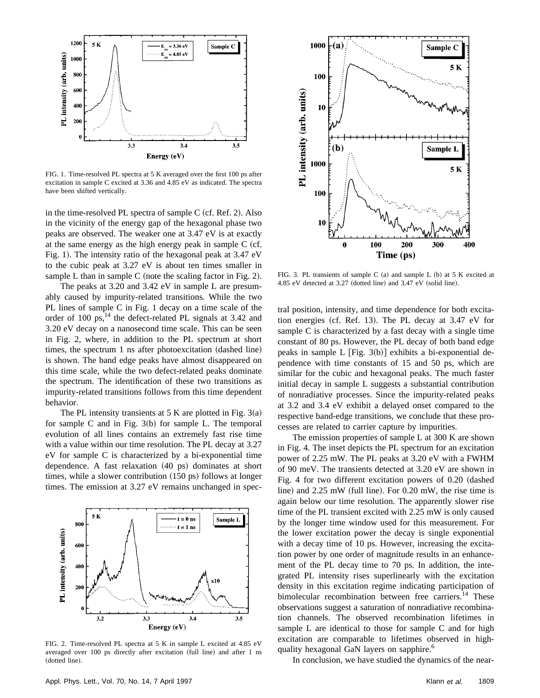

FIG. 1. Time-resolved PL spectra at 5 K averaged over the first 100 ps after excitation in sample C excited at 3.36 and 4.85 eV as indicated. The spectra have been shifted vertically.

in the time-resolved PL spectra of sample  $C$  (cf. Ref. 2). Also in the vicinity of the energy gap of the hexagonal phase two peaks are observed. The weaker one at 3.47 eV is at exactly at the same energy as the high energy peak in sample  $\overline{C}$  (cf. Fig. 1). The intensity ratio of the hexagonal peak at  $3.47$  eV to the cubic peak at 3.27 eV is about ten times smaller in sample L than in sample C (note the scaling factor in Fig. 2).

The peaks at 3.20 and 3.42 eV in sample L are presumably caused by impurity-related transitions. While the two PL lines of sample C in Fig. 1 decay on a time scale of the order of 100 ps, $^{14}$  the defect-related PL signals at 3.42 and 3.20 eV decay on a nanosecond time scale. This can be seen in Fig. 2, where, in addition to the PL spectrum at short times, the spectrum  $1$  ns after photoexcitation  $(dashed line)$ is shown. The band edge peaks have almost disappeared on this time scale, while the two defect-related peaks dominate the spectrum. The identification of these two transitions as impurity-related transitions follows from this time dependent behavior.

The PL intensity transients at 5 K are plotted in Fig.  $3(a)$ for sample C and in Fig.  $3(b)$  for sample L. The temporal evolution of all lines contains an extremely fast rise time with a value within our time resolution. The PL decay at 3.27 eV for sample C is characterized by a bi-exponential time dependence. A fast relaxation  $(40 \text{ ps})$  dominates at short times, while a slower contribution  $(150 \text{ ps})$  follows at longer times. The emission at 3.27 eV remains unchanged in spec-



FIG. 2. Time-resolved PL spectra at 5 K in sample L excited at 4.85 eV averaged over 100 ps directly after excitation (full line) and after 1 ns (dotted line).



FIG. 3. PL transients of sample C  $(a)$  and sample L  $(b)$  at 5 K excited at 4.85 eV detected at  $3.27$  (dotted line) and  $3.47$  eV (solid line).

tral position, intensity, and time dependence for both excitation energies (cf. Ref. 13). The PL decay at  $3.47$  eV for sample C is characterized by a fast decay with a single time constant of 80 ps. However, the PL decay of both band edge peaks in sample L  $[Fig. 3(b)]$  exhibits a bi-exponential dependence with time constants of 15 and 50 ps, which are similar for the cubic and hexagonal peaks. The much faster initial decay in sample L suggests a substantial contribution of nonradiative processes. Since the impurity-related peaks at 3.2 and 3.4 eV exhibit a delayed onset compared to the respective band-edge transitions, we conclude that these processes are related to carrier capture by impurities.

The emission properties of sample L at 300 K are shown in Fig. 4. The inset depicts the PL spectrum for an excitation power of 2.25 mW. The PL peaks at 3.20 eV with a FWHM of 90 meV. The transients detected at 3.20 eV are shown in Fig. 4 for two different excitation powers of  $0.20$  (dashed line) and  $2.25$  mW (full line). For  $0.20$  mW, the rise time is again below our time resolution. The apparently slower rise time of the PL transient excited with 2.25 mW is only caused by the longer time window used for this measurement. For the lower excitation power the decay is single exponential with a decay time of 10 ps. However, increasing the excitation power by one order of magnitude results in an enhancement of the PL decay time to 70 ps. In addition, the integrated PL intensity rises superlinearly with the excitation density in this excitation regime indicating participation of bimolecular recombination between free carriers.<sup>14</sup> These observations suggest a saturation of nonradiative recombination channels. The observed recombination lifetimes in sample L are identical to those for sample C and for high excitation are comparable to lifetimes observed in highquality hexagonal GaN layers on sapphire.<sup>6</sup>

In conclusion, we have studied the dynamics of the near-